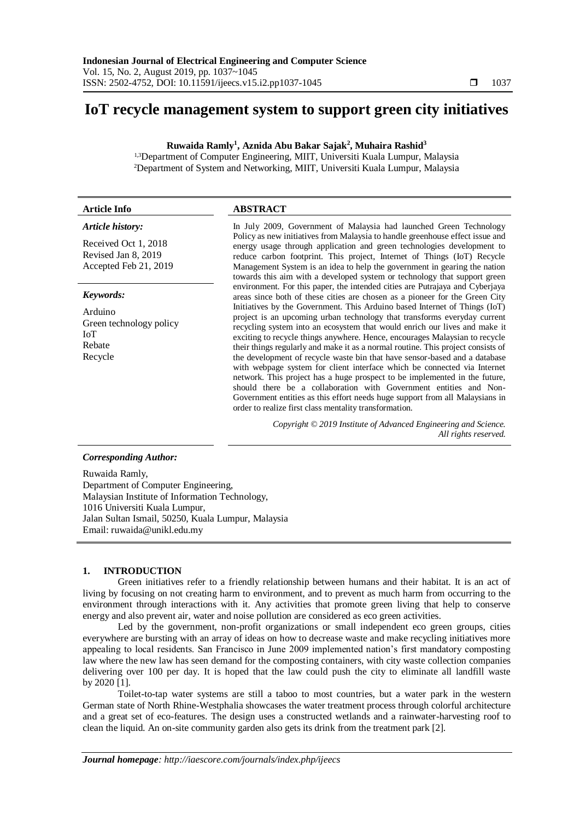# **IoT recycle management system to support green city initiatives**

# **Ruwaida Ramly<sup>1</sup> , Aznida Abu Bakar Sajak<sup>2</sup> , Muhaira Rashid<sup>3</sup>**

<sup>1,3</sup>Department of Computer Engineering, MIIT, Universiti Kuala Lumpur, Malaysia <sup>2</sup>Department of System and Networking, MIIT, Universiti Kuala Lumpur, Malaysia

# **Article Info ABSTRACT**

#### *Article history:*

Received Oct 1, 2018 Revised Jan 8, 2019 Accepted Feb 21, 2019

#### *Keywords:*

Arduino Green technology policy IoT Rebate Recycle

In July 2009, Government of Malaysia had launched Green Technology Policy as new initiatives from Malaysia to handle greenhouse effect issue and energy usage through application and green technologies development to reduce carbon footprint. This project, Internet of Things (IoT) Recycle Management System is an idea to help the government in gearing the nation towards this aim with a developed system or technology that support green environment. For this paper, the intended cities are Putrajaya and Cyberjaya areas since both of these cities are chosen as a pioneer for the Green City Initiatives by the Government. This Arduino based Internet of Things (IoT) project is an upcoming urban technology that transforms everyday current recycling system into an ecosystem that would enrich our lives and make it exciting to recycle things anywhere. Hence, encourages Malaysian to recycle their things regularly and make it as a normal routine. This project consists of the development of recycle waste bin that have sensor-based and a database with webpage system for client interface which be connected via Internet network. This project has a huge prospect to be implemented in the future, should there be a collaboration with Government entities and Non-Government entities as this effort needs huge support from all Malaysians in order to realize first class mentality transformation.

> *Copyright © 2019 Institute of Advanced Engineering and Science. All rights reserved.*

#### *Corresponding Author:*

Ruwaida Ramly, Department of Computer Engineering, Malaysian Institute of Information Technology, 1016 Universiti Kuala Lumpur, Jalan Sultan Ismail, 50250, Kuala Lumpur, Malaysia Email: [ruwaida@unikl.edu.my](mailto:ruwaida@unikl.edu.my)

# **1. INTRODUCTION**

Green initiatives refer to a friendly relationship between humans and their habitat. It is an act of living by focusing on not creating harm to environment, and to prevent as much harm from occurring to the environment through interactions with it. Any activities that promote green living that help to conserve energy and also prevent air, water and noise pollution are considered as eco green activities.

Led by the government, non-profit organizations or small independent eco green groups, cities everywhere are bursting with an array of ideas on how to decrease waste and make recycling initiatives more appealing to local residents. San Francisco in June 2009 implemented nation's first mandatory composting law where the new law has seen demand for the composting containers, with city waste collection companies delivering over 100 per day. It is hoped that the law could push the city to eliminate all landfill waste by 2020 [1].

Toilet-to-tap water systems are still a taboo to most countries, but a water park in the western German state of North Rhine-Westphalia showcases the water treatment process through colorful architecture and a great set of eco-features. The design uses a constructed wetlands and a rainwater-harvesting roof to clean the liquid. An on-site community garden also gets its drink from the treatment park [2].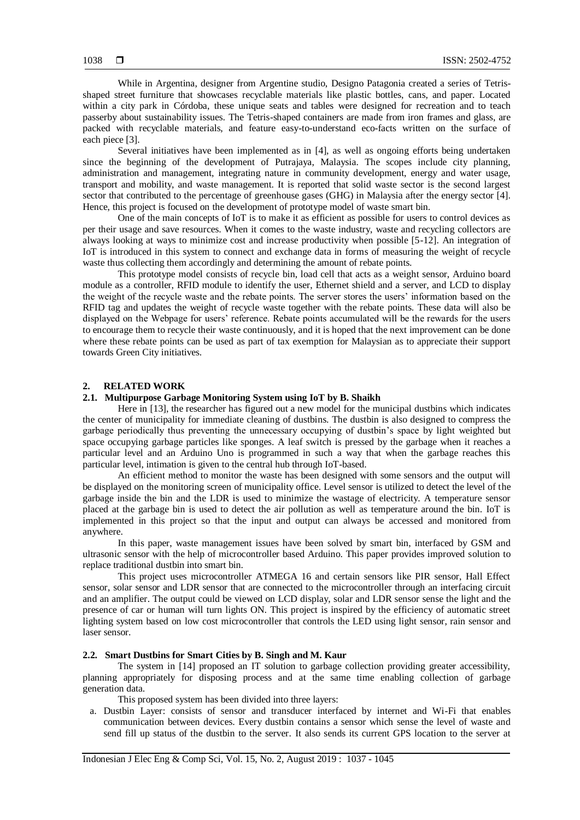While in Argentina, designer from Argentine studio, [Designo Patagonia](http://www.designopatagonia.com.ar/wp/) created a series of [Tetris](http://www.tetris.com/)shaped street furniture that showcases recyclable materials like plastic bottles, cans, and paper. Located within a city park in [Córdoba,](http://es.wikipedia.org/wiki/C%C3%B3rdoba_%28Argentina%29) these unique seats and tables were designed for recreation and to teach passerby about sustainability issues. The Tetris-shaped containers are made from iron frames and glass, are packed with recyclable materials, and feature easy-to-understand eco-facts written on the surface of each piece [3].

Several initiatives have been implemented as in [4], as well as ongoing efforts being undertaken since the beginning of the development of Putrajaya, Malaysia. The scopes include city planning, administration and management, integrating nature in community development, energy and water usage, transport and mobility, and waste management. It is reported that solid waste sector is the second largest sector that contributed to the percentage of greenhouse gases (GHG) in Malaysia after the energy sector [4]. Hence, this project is focused on the development of prototype model of waste smart bin.

One of the main concepts of IoT is to make it as efficient as possible for users to control devices as per their usage and save resources. When it comes to the waste industry, waste and recycling collectors are always looking at ways to minimize cost and increase productivity when possible [5-12]. An integration of IoT is introduced in this system to connect and exchange data in forms of measuring the weight of recycle waste thus collecting them accordingly and determining the amount of rebate points.

This prototype model consists of recycle bin, load cell that acts as a weight sensor, Arduino board module as a controller, RFID module to identify the user, Ethernet shield and a server, and LCD to display the weight of the recycle waste and the rebate points. The server stores the users' information based on the RFID tag and updates the weight of recycle waste together with the rebate points. These data will also be displayed on the Webpage for users' reference. Rebate points accumulated will be the rewards for the users to encourage them to recycle their waste continuously, and it is hoped that the next improvement can be done where these rebate points can be used as part of tax exemption for Malaysian as to appreciate their support towards Green City initiatives.

#### **2. RELATED WORK**

#### **2.1. Multipurpose Garbage Monitoring System using IoT by B. Shaikh**

Here in [13], the researcher has figured out a new model for the municipal dustbins which indicates the center of municipality for immediate cleaning of dustbins. The dustbin is also designed to compress the garbage periodically thus preventing the unnecessary occupying of dustbin's space by light weighted but space occupying garbage particles like sponges. A leaf switch is pressed by the garbage when it reaches a particular level and an Arduino Uno is programmed in such a way that when the garbage reaches this particular level, intimation is given to the central hub through IoT-based.

An efficient method to monitor the waste has been designed with some sensors and the output will be displayed on the monitoring screen of municipality office. Level sensor is utilized to detect the level of the garbage inside the bin and the LDR is used to minimize the wastage of electricity. A temperature sensor placed at the garbage bin is used to detect the air pollution as well as temperature around the bin. IoT is implemented in this project so that the input and output can always be accessed and monitored from anywhere.

In this paper, waste management issues have been solved by smart bin, interfaced by GSM and ultrasonic sensor with the help of microcontroller based Arduino. This paper provides improved solution to replace traditional dustbin into smart bin.

This project uses microcontroller ATMEGA 16 and certain sensors like PIR sensor, Hall Effect sensor, solar sensor and LDR sensor that are connected to the microcontroller through an interfacing circuit and an amplifier. The output could be viewed on LCD display, solar and LDR sensor sense the light and the presence of car or human will turn lights ON. This project is inspired by the efficiency of automatic street lighting system based on low cost microcontroller that controls the LED using light sensor, rain sensor and laser sensor.

## **2.2. Smart Dustbins for Smart Cities by B. Singh and M. Kaur**

The system in [14] proposed an IT solution to garbage collection providing greater accessibility, planning appropriately for disposing process and at the same time enabling collection of garbage generation data.

This proposed system has been divided into three layers:

a. Dustbin Layer: consists of sensor and transducer interfaced by internet and Wi-Fi that enables communication between devices. Every dustbin contains a sensor which sense the level of waste and send fill up status of the dustbin to the server. It also sends its current GPS location to the server at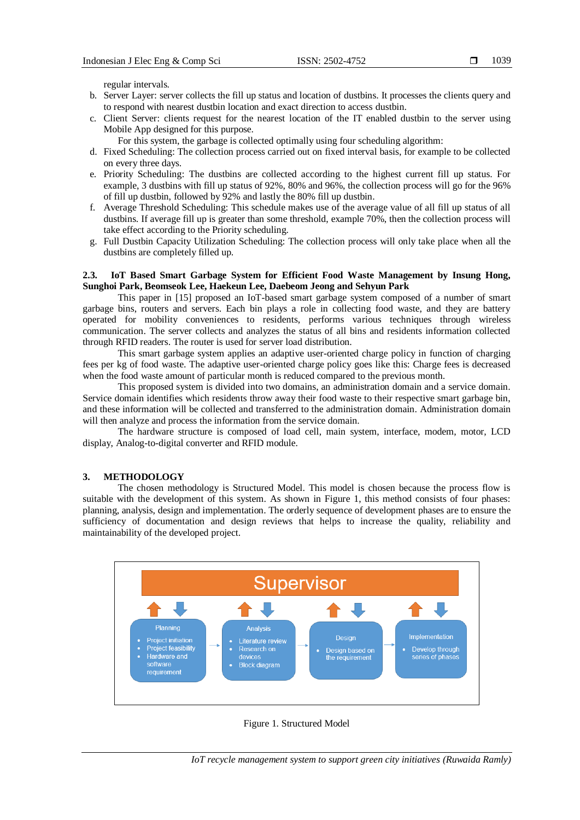regular intervals.

- b. Server Layer: server collects the fill up status and location of dustbins. It processes the clients query and to respond with nearest dustbin location and exact direction to access dustbin.
- c. Client Server: clients request for the nearest location of the IT enabled dustbin to the server using Mobile App designed for this purpose.
	- For this system, the garbage is collected optimally using four scheduling algorithm:
- d. Fixed Scheduling: The collection process carried out on fixed interval basis, for example to be collected on every three days.
- e. Priority Scheduling: The dustbins are collected according to the highest current fill up status. For example, 3 dustbins with fill up status of 92%, 80% and 96%, the collection process will go for the 96% of fill up dustbin, followed by 92% and lastly the 80% fill up dustbin.
- f. Average Threshold Scheduling: This schedule makes use of the average value of all fill up status of all dustbins. If average fill up is greater than some threshold, example 70%, then the collection process will take effect according to the Priority scheduling.
- g. Full Dustbin Capacity Utilization Scheduling: The collection process will only take place when all the dustbins are completely filled up.

## **2.3. IoT Based Smart Garbage System for Efficient Food Waste Management by Insung Hong, Sunghoi Park, Beomseok Lee, Haekeun Lee, Daebeom Jeong and Sehyun Park**

This paper in [15] proposed an IoT-based smart garbage system composed of a number of smart garbage bins, routers and servers. Each bin plays a role in collecting food waste, and they are battery operated for mobility conveniences to residents, performs various techniques through wireless communication. The server collects and analyzes the status of all bins and residents information collected through RFID readers. The router is used for server load distribution.

This smart garbage system applies an adaptive user-oriented charge policy in function of charging fees per kg of food waste. The adaptive user-oriented charge policy goes like this: Charge fees is decreased when the food waste amount of particular month is reduced compared to the previous month.

This proposed system is divided into two domains, an administration domain and a service domain. Service domain identifies which residents throw away their food waste to their respective smart garbage bin, and these information will be collected and transferred to the administration domain. Administration domain will then analyze and process the information from the service domain.

The hardware structure is composed of load cell, main system, interface, modem, motor, LCD display, Analog-to-digital converter and RFID module.

# **3. METHODOLOGY**

The chosen methodology is Structured Model. This model is chosen because the process flow is suitable with the development of this system. As shown in Figure 1, this method consists of four phases: planning, analysis, design and implementation. The orderly sequence of development phases are to ensure the sufficiency of documentation and design reviews that helps to increase the quality, reliability and maintainability of the developed project.



### Figure 1. Structured Model

*IoT recycle management system to support green city initiatives (Ruwaida Ramly)*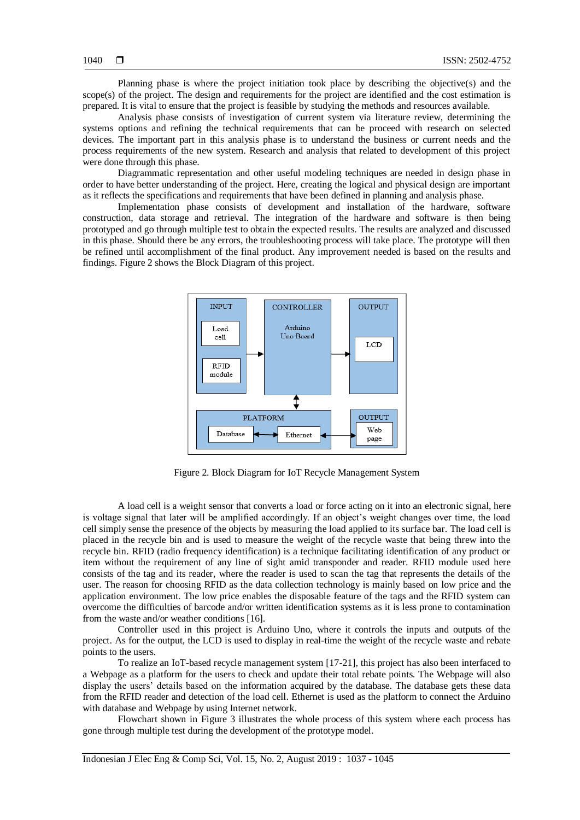Planning phase is where the project initiation took place by describing the objective(s) and the scope(s) of the project. The design and requirements for the project are identified and the cost estimation is prepared. It is vital to ensure that the project is feasible by studying the methods and resources available.

Analysis phase consists of investigation of current system via literature review, determining the systems options and refining the technical requirements that can be proceed with research on selected devices. The important part in this analysis phase is to understand the business or current needs and the process requirements of the new system. Research and analysis that related to development of this project were done through this phase.

Diagrammatic representation and other useful modeling techniques are needed in design phase in order to have better understanding of the project. Here, creating the logical and physical design are important as it reflects the specifications and requirements that have been defined in planning and analysis phase.

Implementation phase consists of development and installation of the hardware, software construction, data storage and retrieval. The integration of the hardware and software is then being prototyped and go through multiple test to obtain the expected results. The results are analyzed and discussed in this phase. Should there be any errors, the troubleshooting process will take place. The prototype will then be refined until accomplishment of the final product. Any improvement needed is based on the results and findings. Figure 2 shows the Block Diagram of this project.



Figure 2. Block Diagram for IoT Recycle Management System

A load cell is a weight sensor that converts a load or force acting on it into an electronic signal, here is voltage signal that later will be amplified accordingly. If an object's weight changes over time, the load cell simply sense the presence of the objects by measuring the load applied to its surface bar. The load cell is placed in the recycle bin and is used to measure the weight of the recycle waste that being threw into the recycle bin. RFID (radio frequency identification) is a technique facilitating identification of any product or item without the requirement of any line of sight amid transponder and reader. RFID module used here consists of the tag and its reader, where the reader is used to scan the tag that represents the details of the user. The reason for choosing RFID as the data collection technology is mainly based on low price and the application environment. The low price enables the disposable feature of the tags and the RFID system can overcome the difficulties of barcode and/or written identification systems as it is less prone to contamination from the waste and/or weather conditions [16].

Controller used in this project is Arduino Uno, where it controls the inputs and outputs of the project. As for the output, the LCD is used to display in real-time the weight of the recycle waste and rebate points to the users.

To realize an IoT-based recycle management system [17-21], this project has also been interfaced to a Webpage as a platform for the users to check and update their total rebate points. The Webpage will also display the users' details based on the information acquired by the database. The database gets these data from the RFID reader and detection of the load cell. Ethernet is used as the platform to connect the Arduino with database and Webpage by using Internet network.

Flowchart shown in Figure 3 illustrates the whole process of this system where each process has gone through multiple test during the development of the prototype model.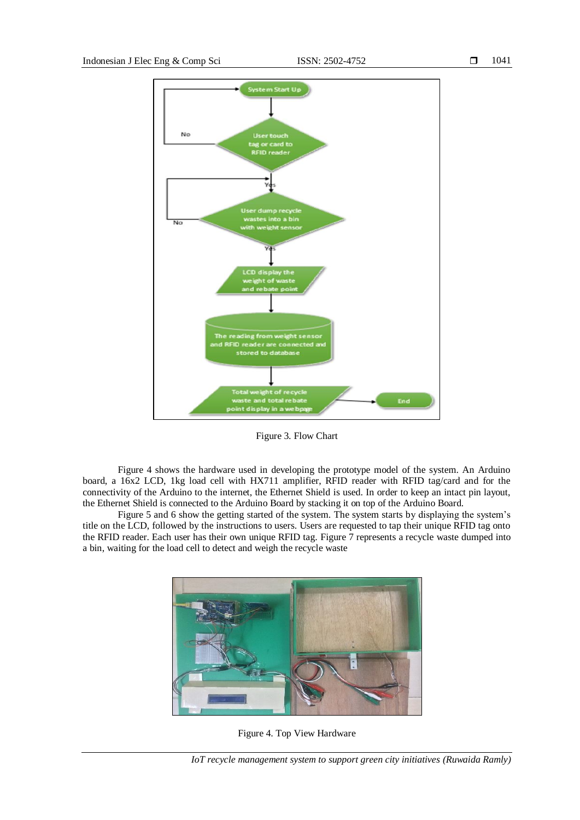

Figure 3. Flow Chart

Figure 4 shows the hardware used in developing the prototype model of the system. An Arduino board, a 16x2 LCD, 1kg load cell with HX711 amplifier, RFID reader with RFID tag/card and for the connectivity of the Arduino to the internet, the Ethernet Shield is used. In order to keep an intact pin layout, the Ethernet Shield is connected to the Arduino Board by stacking it on top of the Arduino Board.

Figure 5 and 6 show the getting started of the system. The system starts by displaying the system's title on the LCD, followed by the instructions to users. Users are requested to tap their unique RFID tag onto the RFID reader. Each user has their own unique RFID tag. Figure 7 represents a recycle waste dumped into a bin, waiting for the load cell to detect and weigh the recycle waste



Figure 4. Top View Hardware

*IoT recycle management system to support green city initiatives (Ruwaida Ramly)*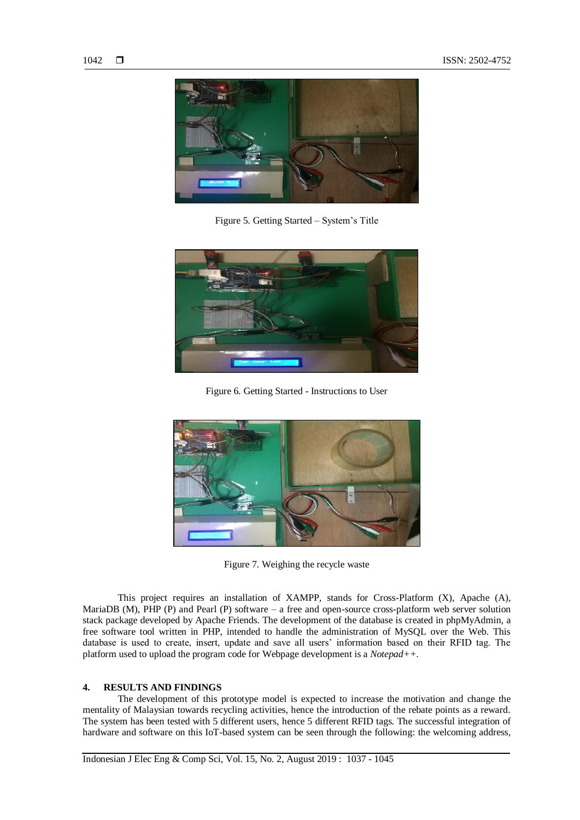

Figure 5. Getting Started – System's Title



Figure 6. Getting Started - Instructions to User



Figure 7. Weighing the recycle waste

This project requires an installation of XAMPP, stands for Cross-Platform (X), Apache (A), MariaDB (M), PHP (P) and Pearl (P) software – a free and open-source cross-platform web server solution stack package developed by Apache Friends. The development of the database is created in phpMyAdmin, a free software tool written in PHP, intended to handle the administration of MySQL over the Web. This database is used to create, insert, update and save all users' information based on their RFID tag. The platform used to upload the program code for Webpage development is a *Notepad++.*

# **4. RESULTS AND FINDINGS**

The development of this prototype model is expected to increase the motivation and change the mentality of Malaysian towards recycling activities, hence the introduction of the rebate points as a reward. The system has been tested with 5 different users, hence 5 different RFID tags. The successful integration of hardware and software on this IoT-based system can be seen through the following: the welcoming address,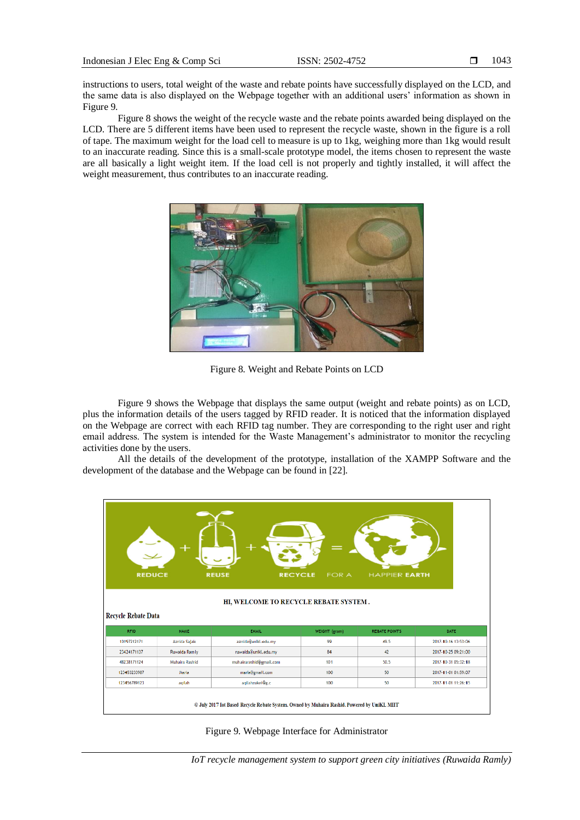instructions to users, total weight of the waste and rebate points have successfully displayed on the LCD, and the same data is also displayed on the Webpage together with an additional users' information as shown in Figure 9.

Figure 8 shows the weight of the recycle waste and the rebate points awarded being displayed on the LCD. There are 5 different items have been used to represent the recycle waste, shown in the figure is a roll of tape. The maximum weight for the load cell to measure is up to 1kg, weighing more than 1kg would result to an inaccurate reading. Since this is a small-scale prototype model, the items chosen to represent the waste are all basically a light weight item. If the load cell is not properly and tightly installed, it will affect the weight measurement, thus contributes to an inaccurate reading.



Figure 8. Weight and Rebate Points on LCD

Figure 9 shows the Webpage that displays the same output (weight and rebate points) as on LCD, plus the information details of the users tagged by RFID reader. It is noticed that the information displayed on the Webpage are correct with each RFID tag number. They are corresponding to the right user and right email address. The system is intended for the Waste Management's administrator to monitor the recycling activities done by the users.

All the details of the development of the prototype, installation of the XAMPP Software and the development of the database and the Webpage can be found in [22].



Figure 9. Webpage Interface for Administrator

*IoT recycle management system to support green city initiatives (Ruwaida Ramly)*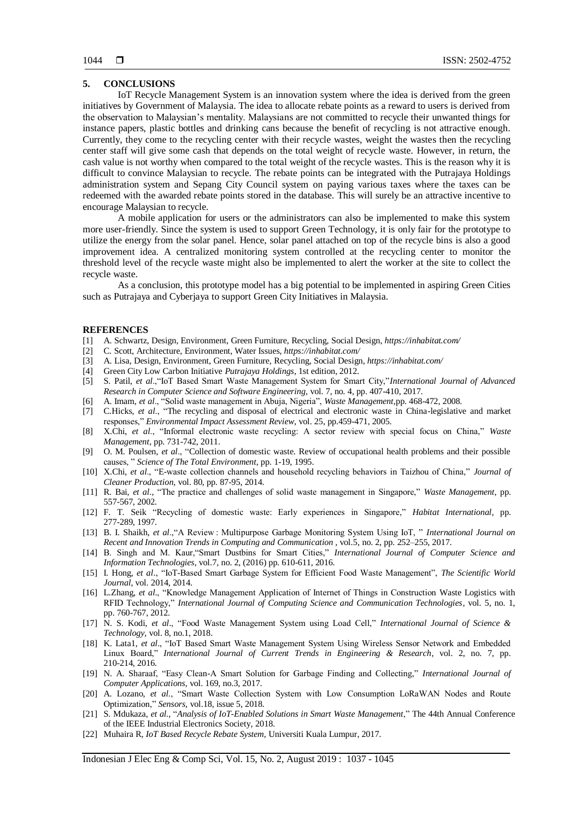## **5. CONCLUSIONS**

IoT Recycle Management System is an innovation system where the idea is derived from the green initiatives by Government of Malaysia. The idea to allocate rebate points as a reward to users is derived from the observation to Malaysian's mentality. Malaysians are not committed to recycle their unwanted things for instance papers, plastic bottles and drinking cans because the benefit of recycling is not attractive enough. Currently, they come to the recycling center with their recycle wastes, weight the wastes then the recycling center staff will give some cash that depends on the total weight of recycle waste. However, in return, the cash value is not worthy when compared to the total weight of the recycle wastes. This is the reason why it is difficult to convince Malaysian to recycle. The rebate points can be integrated with the Putrajaya Holdings administration system and Sepang City Council system on paying various taxes where the taxes can be redeemed with the awarded rebate points stored in the database. This will surely be an attractive incentive to encourage Malaysian to recycle.

A mobile application for users or the administrators can also be implemented to make this system more user-friendly. Since the system is used to support Green Technology, it is only fair for the prototype to utilize the energy from the solar panel. Hence, solar panel attached on top of the recycle bins is also a good improvement idea. A centralized monitoring system controlled at the recycling center to monitor the threshold level of the recycle waste might also be implemented to alert the worker at the site to collect the recycle waste.

As a conclusion, this prototype model has a big potential to be implemented in aspiring Green Cities such as Putrajaya and Cyberjaya to support Green City Initiatives in Malaysia.

#### **REFERENCES**

- [1] A. Schwartz, [Design,](https://inhabitat.com/design/) [Environment,](https://inhabitat.com/environment/) Green [Furniture,](https://inhabitat.com/design/furniture/) [Recycling,](https://inhabitat.com/environment/recycling-initiatives/) Social [Design,](https://inhabitat.com/design/social-design/) *https://inhabitat.com/*
- [2] C. Scott, [Architecture,](https://inhabitat.com/architecture/) [Environment,](https://inhabitat.com/environment/) [Water](https://inhabitat.com/environment/water-issues/) Issues, *https://inhabitat.com/*
- [3] A. Lisa[, Design,](https://inhabitat.com/design/) [Environment,](https://inhabitat.com/environment/) Green [Furniture,](https://inhabitat.com/design/furniture/) [Recycling,](https://inhabitat.com/environment/recycling-initiatives/) Social [Design,](https://inhabitat.com/design/social-design/) *https://inhabitat.com/*
- [4] Green City Low Carbon Initiative *Putrajaya Holdings*, 1st edition, 2012.
- [5] S. Patil, *et al*.,"IoT Based Smart Waste Management System for Smart City,"*International Journal of Advanced Research in Computer Science and Software Engineering,* vol. 7, no. 4, pp. 407-410, 2017.
- [6] A. Imam, *et al*., "Solid waste management in Abuja, Nigeria", *Waste [Management,](https://www.sciencedirect.com/science/journal/0956053X)*pp. 468-472, 2008.
- [7] C.Hicks, *et al*., "The recycling and disposal of electrical and electronic waste in China-legislative and market responses," *[Environmental Impact Assessment Review](https://www.sciencedirect.com/science/journal/01959255)*[, vol. 25, p](https://www.sciencedirect.com/science/journal/01959255/25/5)p.459-471, 2005.
- [8] X.Chi, *et al*., "Informal electronic waste recycling: A sector review with special focus on China," *[Waste](https://www.sciencedirect.com/science/journal/0956053X)  [Management](https://www.sciencedirect.com/science/journal/0956053X)*, pp. 731-742, 2011.
- [9] O. M. Poulsen, *et al*., "Collection of domestic waste. Review of occupational health problems and their possible causes, " *[Science of The Total Environment](https://www.sciencedirect.com/science/journal/00489697)*, pp. 1-19, 1995.
- [10] X.Chi, *et al*., "E-waste collection channels and household recycling behaviors in Taizhou of China," *[Journal of](https://www.sciencedirect.com/science/journal/09596526)  [Cleaner Production,](https://www.sciencedirect.com/science/journal/09596526)* [vol. 80,](https://www.sciencedirect.com/science/journal/09596526/80/supp/C) pp. 87-95, 2014.
- [11] [R. Bai,](https://www.sciencedirect.com/science/article/pii/S0956053X02000144#!) *et al*., "The practice and challenges of solid waste management in Singapore," *[Waste Management](https://www.sciencedirect.com/science/journal/0956053X)*, pp. 557-567, 2002.
- [12] F. T. Seik "Recycling of domestic waste: Early experiences in Singapore," *[Habitat International,](https://www.sciencedirect.com/science/journal/01973975)* pp. 277-289, 1997.
- [13] B. I. Shaikh, *et al*.,"A Review : Multipurpose Garbage Monitoring System Using IoT, " *International Journal on Recent and Innovation Trends in Computing and Communication ,* vol.5, no. 2, pp. 252–255, 2017.
- [14] B. Singh and M. Kaur,"Smart Dustbins for Smart Cities," *International Journal of Computer Science and Information Technologies*, vol.7, no. 2, (2016) pp. 610-611, 2016.
- [15] I. Hong, *et al*., "IoT-Based Smart Garbage System for Efficient Food Waste Management", *The Scientific World Journal*, vol. 2014, 2014.
- [16] L.Zhang, *et al*., "Knowledge Management Application of Internet of Things in Construction Waste Logistics with RFID Technology," *International Journal of Computing Science and Communication Technologies*, vol. 5, no. 1, pp. 760-767, 2012.
- [17] N. S. Kodi, *et al*., "Food Waste Management System using Load Cell," *International Journal of Science & Technology,* vol. 8, no.1, 2018.
- [18] K. Lata1, *et al*., "IoT Based Smart Waste Management System Using Wireless Sensor Network and Embedded Linux Board," *International Journal of Current Trends in Engineering & Research*, vol. 2, no. 7, pp. 210-214, 2016.
- [19] N. A. Sharaaf, "Easy Clean-A Smart Solution for Garbage Finding and Collecting," *International Journal of Computer Applications*, vol. 169, no.3, 2017.
- [20] A. Lozano, *et al*., "Smart Waste Collection System with Low Consumption LoRaWAN Nodes and Route Optimization," *Sensors,* vol.18, issue 5, 2018.
- [21] S. Mdukaza, *et al*., "*Analysis of IoT-Enabled Solutions in Smart Waste Management*," The 44th Annual Conference of the IEEE Industrial Electronics Society*,* 2018.
- [22] Muhaira R, *IoT Based Recycle Rebate System*, Universiti Kuala Lumpur, 2017.